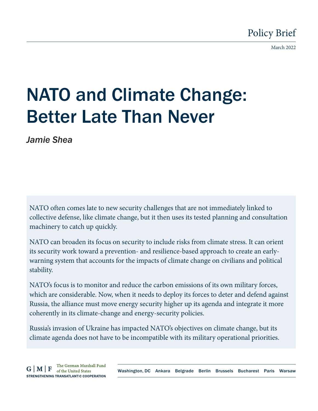March 2022

# NATO and Climate Change: Better Late Than Never

*Jamie Shea*

NATO often comes late to new security challenges that are not immediately linked to collective defense, like climate change, but it then uses its tested planning and consultation machinery to catch up quickly.

NATO can broaden its focus on security to include risks from climate stress. It can orient its security work toward a prevention- and resilience-based approach to create an earlywarning system that accounts for the impacts of climate change on civilians and political stability.

NATO's focus is to monitor and reduce the carbon emissions of its own military forces, which are considerable. Now, when it needs to deploy its forces to deter and defend against Russia, the alliance must move energy security higher up its agenda and integrate it more coherently in its climate-change and energy-security policies.

Russia's invasion of Ukraine has impacted NATO's objectives on climate change, but its climate agenda does not have to be incompatible with its military operational priorities.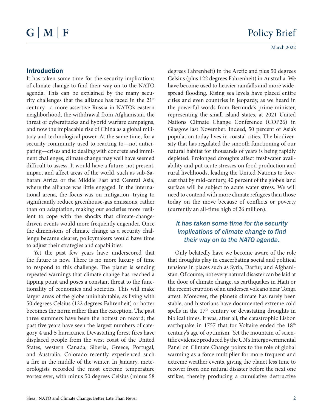#### Introduction

It has taken some time for the security implications of climate change to find their way on to the NATO agenda. This can be explained by the many security challenges that the alliance has faced in the 21<sup>st</sup> century—a more assertive Russia in NATO's eastern neighborhood, the withdrawal from Afghanistan, the threat of cyberattacks and hybrid warfare campaigns, and now the implacable rise of China as a global military and technological power. At the same time, for a security community used to reacting to—not anticipating—crises and to dealing with concrete and imminent challenges, climate change may well have seemed difficult to assess. It would have a future, not present, impact and affect areas of the world, such as sub-Saharan Africa or the Middle East and Central Asia, where the alliance was little engaged. In the international arena, the focus was on mitigation, trying to significantly reduce greenhouse-gas emissions, rather than on adaptation, making our societies more resilient to cope with the shocks that climate-changedriven events would more frequently engender. Once the dimensions of climate change as a security challenge became clearer, policymakers would have time to adjust their strategies and capabilities.

Yet the past few years have underscored that the future is now. There is no more luxury of time to respond to this challenge. The planet is sending repeated warnings that climate change has reached a tipping point and poses a constant threat to the functionality of economies and societies. This will make larger areas of the globe uninhabitable, as living with 50 degrees Celsius (122 degrees Fahrenheit) or hotter becomes the norm rather than the exception. The past three summers have been the hottest on record; the past five years have seen the largest numbers of category 4 and 5 hurricanes. Devastating forest fires have displaced people from the west coast of the United States, western Canada, Siberia, Greece, Portugal, and Australia. Colorado recently experienced such a fire in the middle of the winter. In January, meteorologists recorded the most extreme temperature vortex ever, with minus 50 degrees Celsius (minus 58

degrees Fahrenheit) in the Arctic and plus 50 degrees Celsius (plus 122 degrees Fahrenheit) in Australia. We have become used to heavier rainfalls and more widespread flooding. Rising sea levels have placed entire cities and even countries in jeopardy, as we heard in the powerful words from Bermuda's prime minister, representing the small island states, at 2021 United Nations Climate Change Conference (COP26) in Glasgow last November. Indeed, 50 percent of Asia's population today lives in coastal cities. The biodiversity that has regulated the smooth functioning of our natural habitat for thousands of years is being rapidly depleted. Prolonged droughts affect freshwater availability and put acute stresses on food production and rural livelihoods, leading the United Nations to forecast that by mid-century, 40 percent of the globe's land surface will be subject to acute water stress. We will need to contend with more climate refugees than those today on the move because of conflicts or poverty (currently an all-time high of 26 million).

#### *It has taken some time for the security implications of climate change to find their way on to the NATO agenda.*

Only belatedly have we become aware of the role that droughts play in exacerbating social and political tensions in places such as Syria, Darfur, and Afghanistan. Of course, not every natural disaster can be laid at the door of climate change, as earthquakes in Haiti or the recent eruption of an undersea volcano near Tonga attest. Moreover, the planet's climate has rarely been stable, and historians have documented extreme cold spells in the 17<sup>th</sup> century or devastating droughts in biblical times. It was, after all, the catastrophic Lisbon earthquake in 1757 that for Voltaire ended the 18<sup>th</sup> century's age of optimism. Yet the mountain of scientific evidence produced by the UN's Intergovernmental Panel on Climate Change points to the role of global warming as a force multiplier for more frequent and extreme weather events, giving the planet less time to recover from one natural disaster before the next one strikes, thereby producing a cumulative destructive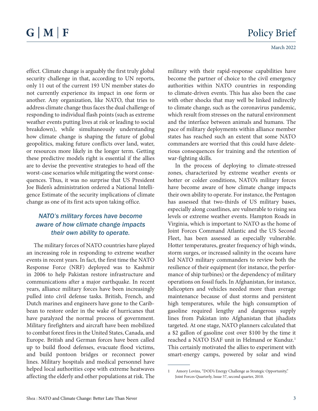effect. Climate change is arguably the first truly global security challenge in that, according to UN reports, only 11 out of the current 193 UN member states do not currently experience its impact in one form or another. Any organization, like NATO, that tries to address climate change thus faces the dual challenge of responding to individual flash points (such as extreme weather events putting lives at risk or leading to social breakdown), while simultaneously understanding how climate change is shaping the future of global geopolitics, making future conflicts over land, water, or resources more likely in the longer term. Getting these predictive models right is essential if the allies are to devise the preventive strategies to head off the worst-case scenarios while mitigating the worst consequences. Thus, it was no surprise that US President Joe Biden's administration ordered a National Intelligence Estimate of the security implications of climate change as one of its first acts upon taking office.

#### *NATO's military forces have become aware of how climate change impacts their own ability to operate.*

The military forces of NATO countries have played an increasing role in responding to extreme weather events in recent years. In fact, the first time the NATO Response Force (NRF) deployed was to Kashmir in 2006 to help Pakistan restore infrastructure and communications after a major earthquake. In recent years, alliance military forces have been increasingly pulled into civil defense tasks. British, French, and Dutch marines and engineers have gone to the Caribbean to restore order in the wake of hurricanes that have paralyzed the normal process of government. Military firefighters and aircraft have been mobilized to combat forest fires in the United States, Canada, and Europe. British and German forces have been called up to build flood defenses, evacuate flood victims, and build pontoon bridges or reconnect power lines. Military hospitals and medical personnel have helped local authorities cope with extreme heatwaves affecting the elderly and other populations at risk. The

military with their rapid-response capabilities have become the partner of choice to the civil emergency authorities within NATO countries in responding to climate-driven events. This has also been the case with other shocks that may well be linked indirectly to climate change, such as the coronavirus pandemic, which result from stresses on the natural environment and the interface between animals and humans. The pace of military deployments within alliance member states has reached such an extent that some NATO commanders are worried that this could have deleterious consequences for training and the retention of war-fighting skills.

In the process of deploying to climate-stressed zones, characterized by extreme weather events or hotter or colder conditions, NATO's military forces have become aware of how climate change impacts their own ability to operate. For instance, the Pentagon has assessed that two-thirds of US military bases, especially along coastlines, are vulnerable to rising sea levels or extreme weather events. Hampton Roads in Virginia, which is important to NATO as the home of Joint Forces Command Atlantic and the US Second Fleet, has been assessed as especially vulnerable. Hotter temperatures, greater frequency of high winds, storm surges, or increased salinity in the oceans have led NATO military commanders to review both the resilience of their equipment (for instance, the performance of ship turbines) or the dependency of military operations on fossil fuels. In Afghanistan, for instance, helicopters and vehicles needed more than average maintenance because of dust storms and persistent high temperatures, while the high consumption of gasoline required lengthy and dangerous supply lines from Pakistan into Afghanistan that jihadists targeted. At one stage, NATO planners calculated that a \$2 gallon of gasoline cost over \$100 by the time it reached a NATO ISAF unit in Helmand or Kunduz.<sup>1</sup> This certainly motivated the allies to experiment with smart-energy camps, powered by solar and wind

<sup>1</sup> Amory Lovins, "DOD's Energy Challenge as Strategic Opportunity," Joint Forces Quarterly, Issue 57, second quarter, 2010.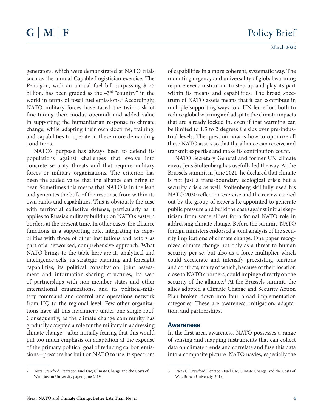March 2022

generators, which were demonstrated at NATO trials such as the annual Capable Logistician exercise. The Pentagon, with an annual fuel bill surpassing \$ 25 billion, has been graded as the 43<sup>rd</sup> "country" in the world in terms of fossil fuel emissions.<sup>2</sup> Accordingly, NATO military forces have faced the twin task of fine-tuning their modus operandi and added value in supporting the humanitarian response to climate change, while adapting their own doctrine, training, and capabilities to operate in these more demanding conditions.

NATO's purpose has always been to defend its populations against challenges that evolve into concrete security threats and that require military forces or military organizations. The criterion has been the added value that the alliance can bring to bear. Sometimes this means that NATO is in the lead and generates the bulk of the response from within its own ranks and capabilities. This is obviously the case with territorial collective defense, particularly as it applies to Russia's military buildup on NATO's eastern borders at the present time. In other cases, the alliance functions in a supporting role, integrating its capabilities with those of other institutions and actors as part of a networked, comprehensive approach. What NATO brings to the table here are its analytical and intelligence cells, its strategic planning and foresight capabilities, its political consultation, joint assessment and information-sharing structures, its web of partnerships with non-member states and other international organizations, and its political-military command and control and operations network from HQ to the regional level. Few other organizations have all this machinery under one single roof. Consequently, as the climate change community has gradually accepted a role for the military in addressing climate change—after initially fearing that this would put too much emphasis on adaptation at the expense of the primary political goal of reducing carbon emissions—pressure has built on NATO to use its spectrum

of capabilities in a more coherent, systematic way. The mounting urgency and universality of global warming require every institution to step up and play its part within its means and capabilities. The broad spectrum of NATO assets means that it can contribute in multiple supporting ways to a UN-led effort both to reduce global warning and adapt to the climate impacts that are already locked in, even if that warming can be limited to 1.5 to 2 degrees Celsius over pre-industrial levels. The question now is how to optimize all these NATO assets so that the alliance can receive and transmit expertise and make its contribution count.

NATO Secretary General and former UN climate envoy Jens Stoltenberg has usefully led the way. At the Brussels summit in June 2021, he declared that climate is not just a trans-boundary ecological crisis but a security crisis as well. Stoltenberg skillfully used his NATO 2030 reflection exercise and the review carried out by the group of experts he appointed to generate public pressure and build the case (against initial skepticism from some allies) for a formal NATO role in addressing climate change. Before the summit, NATO foreign ministers endorsed a joint analysis of the security implications of climate change. One paper recognized climate change not only as a threat to human security per se, but also as a force multiplier which could accelerate and intensify preexisting tensions and conflicts, many of which, because of their location close to NATO's borders, could impinge directly on the security of the alliance.<sup>3</sup> At the Brussels summit, the allies adopted a Climate Change and Security Action Plan broken down into four broad implementation categories. These are awareness, mitigation, adaptation, and partnerships.

#### Awareness

In the first area, awareness, NATO possesses a range of sensing and mapping instruments that can collect data on climate trends and correlate and fuse this data into a composite picture. NATO navies, especially the

<sup>2</sup> Neta Crawford, Pentagon Fuel Use; Climate Change and the Costs of War, Boston University paper, June 2019.

<sup>3</sup> Neta C. Crawford, Pentagon Fuel Use, Climate Change, and the Costs of War, Brown University, 2019.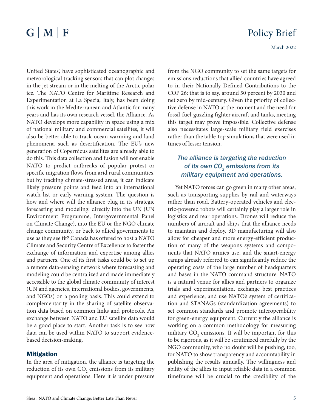March 2022

United States', have sophisticated oceanographic and meteorological tracking sensors that can plot changes in the jet stream or in the melting of the Arctic polar ice. The NATO Centre for Maritime Research and Experimentation at La Spezia, Italy, has been doing this work in the Mediterranean and Atlantic for many years and has its own research vessel, the Alliance. As NATO develops more capability in space using a mix of national military and commercial satellites, it will also be better able to track ocean warming and land phenomena such as desertification. The EU's new generation of Copernicus satellites are already able to do this. This data collection and fusion will not enable NATO to predict outbreaks of popular protest or specific migration flows from arid rural communities, but by tracking climate-stressed areas, it can indicate likely pressure points and feed into an international watch list or early-warning system. The question is how and where will the alliance plug in its strategic forecasting and modeling: directly into the UN (UN Environment Programme, Intergovernmental Panel on Climate Change), into the EU or the NGO climate change community, or back to allied governments to use as they see fit? Canada has offered to host a NATO Climate and Security Centre of Excellence to foster the exchange of information and expertise among allies and partners. One of its first tasks could be to set up a remote data-sensing network where forecasting and modeling could be centralized and made immediately accessible to the global climate community of interest (UN and agencies, international bodies, governments, and NGOs) on a pooling basis. This could extend to complementarity in the sharing of satellite observation data based on common links and protocols. An exchange between NATO and EU satellite data would be a good place to start. Another task is to see how data can be used within NATO to support evidencebased decision-making.

#### Mitigation

In the area of mitigation, the alliance is targeting the reduction of its own  $\mathrm{CO}_2$  emissions from its military equipment and operations. Here it is under pressure

from the NGO community to set the same targets for emissions reductions that allied countries have agreed to in their Nationally Defined Contributions to the COP 26; that is to say, around 50 percent by 2030 and net zero by mid-century. Given the priority of collective defense in NATO at the moment and the need for fossil-fuel-guzzling fighter aircraft and tanks, meeting this target may prove impossible. Collective defense also necessitates large-scale military field exercises rather than the table-top simulations that were used in times of lesser tension.

#### *The alliance is targeting the reduction*  of its own CO<sub>2</sub> emissions from its *military equipment and operations.*

Yet NATO forces can go green in many other areas, such as transporting supplies by rail and waterways rather than road. Battery-operated vehicles and electric-powered robots will certainly play a larger role in logistics and rear operations. Drones will reduce the numbers of aircraft and ships that the alliance needs to maintain and deploy. 3D manufacturing will also allow for cheaper and more energy-efficient production of many of the weapons systems and components that NATO armies use, and the smart-energy camps already referred to can significantly reduce the operating costs of the large number of headquarters and bases in the NATO command structure. NATO is a natural venue for allies and partners to organize trials and experimentation, exchange best practices and experience, and use NATO's system of certification and STANAGs (standardization agreements) to set common standards and promote interoperability for green-energy equipment. Currently the alliance is working on a common methodology for measuring military  $CO_2$  emissions. It will be important for this to be rigorous, as it will be scrutinized carefully by the NGO community, who no doubt will be pushing, too, for NATO to show transparency and accountability in publishing the results annually. The willingness and ability of the allies to input reliable data in a common timeframe will be crucial to the credibility of the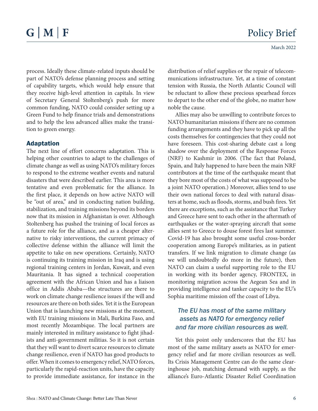process. Ideally these climate-related inputs should be part of NATO's defense planning process and setting of capability targets, which would help ensure that they receive high-level attention in capitals. In view of Secretary General Stoltenberg's push for more common funding, NATO could consider setting up a Green Fund to help finance trials and demonstrations and to help the less advanced allies make the transition to green energy.

#### Adaptation

The next line of effort concerns adaptation. This is helping other countries to adapt to the challenges of climate change as well as using NATO's military forces to respond to the extreme weather events and natural disasters that were described earlier. This area is more tentative and even problematic for the alliance. In the first place, it depends on how active NATO will be "out of area," and in conducting nation building, stabilization, and training missions beyond its borders now that its mission in Afghanistan is over. Although Stoltenberg has pushed the training of local forces as a future role for the alliance, and as a cheaper alternative to risky interventions, the current primacy of collective defense within the alliance will limit the appetite to take on new operations. Certainly, NATO is continuing its training mission in Iraq and is using regional training centers in Jordan, Kuwait, and even Mauritania. It has signed a technical cooperation agreement with the African Union and has a liaison office in Addis Ababa—the structures are there to work on climate change resilience issues if the will and resources are there on both sides. Yet it is the European Union that is launching new missions at the moment, with EU training missions in Mali, Burkina Faso, and most recently Mozambique. The local partners are mainly interested in military assistance to fight jihadists and anti-government militias. So it is not certain that they will want to divert scarce resources to climate change resilience, even if NATO has good products to offer. When it comes to emergency relief, NATO forces, particularly the rapid-reaction units, have the capacity to provide immediate assistance, for instance in the

distribution of relief supplies or the repair of telecommunications infrastructure. Yet, at a time of constant tension with Russia, the North Atlantic Council will be reluctant to allow these precious spearhead forces to depart to the other end of the globe, no matter how noble the cause.

Allies may also be unwilling to contribute forces to NATO humanitarian missions if there are no common funding arrangements and they have to pick up all the costs themselves for contingencies that they could not have foreseen. This cost-sharing debate cast a long shadow over the deployment of the Response Forces (NRF) to Kashmir in 2006. (The fact that Poland, Spain, and Italy happened to have been the main NRF contributors at the time of the earthquake meant that they bore most of the costs of what was supposed to be a joint NATO operation.) Moreover, allies tend to use their own national forces to deal with natural disasters at home, such as floods, storms, and bush fires. Yet there are exceptions, such as the assistance that Turkey and Greece have sent to each other in the aftermath of earthquakes or the water-spraying aircraft that some allies sent to Greece to douse forest fires last summer. Covid-19 has also brought some useful cross-border cooperation among Europe's militaries, as in patient transfers. If we link migration to climate change (as we will undoubtedly do more in the future), then NATO can claim a useful supporting role to the EU in working with its border agency, FRONTEX, in monitoring migration across the Aegean Sea and in providing intelligence and tanker capacity to the EU's Sophia maritime mission off the coast of Libya.

#### *The EU has most of the same military assets as NATO for emergency relief and far more civilian resources as well.*

Yet this point only underscores that the EU has most of the same military assets as NATO for emergency relief and far more civilian resources as well. Its Crisis Management Centre can do the same clearinghouse job, matching demand with supply, as the alliance's Euro-Atlantic Disaster Relief Coordination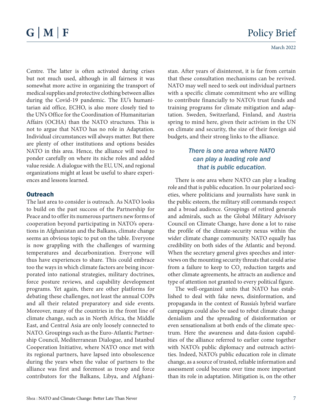Centre. The latter is often activated during crises but not much used, although in all fairness it was somewhat more active in organizing the transport of medical supplies and protective clothing between allies during the Covid-19 pandemic. The EU's humanitarian aid office, ECHO, is also more closely tied to the UN's Office for the Coordination of Humanitarian Affairs (OCHA) than the NATO structures. This is not to argue that NATO has no role in Adaptation. Individual circumstances will always matter. But there are plenty of other institutions and options besides NATO in this area. Hence, the alliance will need to ponder carefully on where its niche roles and added value reside. A dialogue with the EU, UN, and regional organizations might at least be useful to share experiences and lessons learned.

#### **Outreach**

The last area to consider is outreach. As NATO looks to build on the past success of the Partnership for Peace and to offer its numerous partners new forms of cooperation beyond participating in NATO's operations in Afghanistan and the Balkans, climate change seems an obvious topic to put on the table. Everyone is now grappling with the challenges of warming temperatures and decarbonization. Everyone will thus have experiences to share. This could embrace too the ways in which climate factors are being incorporated into national strategies, military doctrines, force posture reviews, and capability development programs. Yet again, there are other platforms for debating these challenges, not least the annual COPs and all their related preparatory and side events. Moreover, many of the countries in the front line of climate change, such as in North Africa, the Middle East, and Central Asia are only loosely connected to NATO. Groupings such as the Euro-Atlantic Partnership Council, Mediterranean Dialogue, and Istanbul Cooperation Initiative, where NATO once met with its regional partners, have lapsed into obsolescence during the years when the value of partners to the alliance was first and foremost as troop and force contributors for the Balkans, Libya, and Afghanistan. After years of disinterest, it is far from certain that these consultation mechanisms can be revived. NATO may well need to seek out individual partners with a specific climate commitment who are willing to contribute financially to NATO's trust funds and training programs for climate mitigation and adaptation. Sweden, Switzerland, Finland, and Austria spring to mind here, given their activism in the UN on climate and security, the size of their foreign aid budgets, and their strong links to the alliance.

#### *There is one area where NATO can play a leading role and that is public education.*

There is one area where NATO can play a leading role and that is public education. In our polarized societies, where politicians and journalists have sunk in the public esteem, the military still commands respect and a broad audience. Groupings of retired generals and admirals, such as the Global Military Advisory Council on Climate Change, have done a lot to raise the profile of the climate-security nexus within the wider climate change community. NATO equally has credibility on both sides of the Atlantic and beyond. When the secretary general gives speeches and interviews on the mounting security threats that could arise from a failure to keep to  $\mathrm{CO}_2$  reduction targets and other climate agreements, he attracts an audience and type of attention not granted to every political figure.

The well-organized units that NATO has established to deal with fake news, disinformation, and propaganda in the context of Russia's hybrid warfare campaigns could also be used to rebut climate change denialism and the spreading of disinformation or even sensationalism at both ends of the climate spectrum. Here the awareness and data-fusion capabilities of the alliance referred to earlier come together with NATO's public diplomacy and outreach activities. Indeed, NATO's public education role in climate change, as a source of trusted, reliable information and assessment could become over time more important than its role in adaptation. Mitigation is, on the other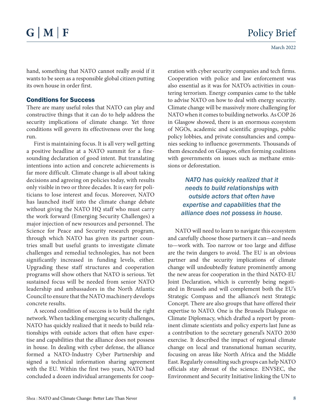hand, something that NATO cannot really avoid if it wants to be seen as a responsible global citizen putting its own house in order first.

#### Conditions for Success

There are many useful roles that NATO can play and constructive things that it can do to help address the security implications of climate change. Yet three conditions will govern its effectiveness over the long run.

First is maintaining focus. It is all very well getting a positive headline at a NATO summit for a finesounding declaration of good intent. But translating intentions into action and concrete achievements is far more difficult. Climate change is all about taking decisions and agreeing on policies today, with results only visible in two or three decades. It is easy for politicians to lose interest and focus. Moreover, NATO has launched itself into the climate change debate without giving the NATO HQ staff who must carry the work forward (Emerging Security Challenges) a major injection of new resources and personnel. The Science for Peace and Security research program, through which NATO has given its partner countries small but useful grants to investigate climate challenges and remedial technologies, has not been significantly increased in funding levels, either. Upgrading these staff structures and cooperation programs will show others that NATO is serious. Yet sustained focus will be needed from senior NATO leadership and ambassadors in the North Atlantic Council to ensure that the NATO machinery develops concrete results.

A second condition of success is to build the right network. When tackling emerging security challenges, NATO has quickly realized that it needs to build relationships with outside actors that often have expertise and capabilities that the alliance does not possess in house. In dealing with cyber defense, the alliance formed a NATO-Industry Cyber Partnership and signed a technical information sharing agreement with the EU. Within the first two years, NATO had concluded a dozen individual arrangements for cooperation with cyber security companies and tech firms. Cooperation with police and law enforcement was also essential as it was for NATO's activities in countering terrorism. Energy companies came to the table to advise NATO on how to deal with energy security. Climate change will be massively more challenging for NATO when it comes to building networks. As COP 26 in Glasgow showed, there is an enormous ecosystem of NGOs, academic and scientific groupings, public policy lobbies, and private consultancies and companies seeking to influence governments. Thousands of them descended on Glasgow, often forming coalitions with governments on issues such as methane emissions or deforestation.

#### *NATO has quickly realized that it needs to build relationships with outside actors that often have expertise and capabilities that the alliance does not possess in house.*

NATO will need to learn to navigate this ecosystem and carefully choose those partners it can—and needs to—work with. Too narrow or too large and diffuse are the twin dangers to avoid. The EU is an obvious partner and the security implications of climate change will undoubtedly feature prominently among the new areas for cooperation in the third NATO-EU Joint Declaration, which is currently being negotiated in Brussels and will complement both the EU's Strategic Compass and the alliance's next Strategic Concept. There are also groups that have offered their expertise to NATO. One is the Brussels Dialogue on Climate Diplomacy, which drafted a report by prominent climate scientists and policy experts last June as a contribution to the secretary general's NATO 2030 exercise. It described the impact of regional climate change on local and transnational human security, focusing on areas like North Africa and the Middle East. Regularly consulting such groups can help NATO officials stay abreast of the science. ENVSEC, the Environment and Security Initiative linking the UN to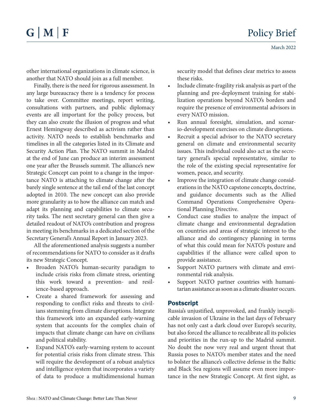other international organizations in climate science, is another that NATO should join as a full member.

Finally, there is the need for rigorous assessment. In any large bureaucracy there is a tendency for process to take over. Committee meetings, report writing, consultations with partners, and public diplomacy events are all important for the policy process, but they can also create the illusion of progress and what Ernest Hemingway described as activism rather than activity. NATO needs to establish benchmarks and timelines in all the categories listed in its Climate and Security Action Plan. The NATO summit in Madrid at the end of June can produce an interim assessment one year after the Brussels summit. The alliance's new Strategic Concept can point to a change in the importance NATO is attaching to climate change after the barely single sentence at the tail end of the last concept adopted in 2010. The new concept can also provide more granularity as to how the alliance can match and adapt its planning and capabilities to climate security tasks. The next secretary general can then give a detailed readout of NATO's contribution and progress in meeting its benchmarks in a dedicated section of the Secretary General's Annual Report in January 2023.

All the aforementioned analysis suggests a number of recommendations for NATO to consider as it drafts its new Strategic Concept.

- Broaden NATO's human-security paradigm to include crisis risks from climate stress, orienting this work toward a prevention- and resilience-based approach.
- Create a shared framework for assessing and responding to conflict risks and threats to civilians stemming from climate disruptions. Integrate this framework into an expanded early-warning system that accounts for the complex chain of impacts that climate change can have on civilians and political stability.
- Expand NATO's early-warning system to account for potential crisis risks from climate stress. This will require the development of a robust analytics and intelligence system that incorporates a variety of data to produce a multidimensional human

security model that defines clear metrics to assess these risks.

- Include climate-fragility risk analysis as part of the planning and pre-deployment training for stabilization operations beyond NATO's borders and require the presence of environmental advisors in every NATO mission.
- Run annual foresight, simulation, and scenario-development exercises on climate disruptions.
- Recruit a special advisor to the NATO secretary general on climate and environmental security issues. This individual could also act as the secretary general's special representative, similar to the role of the existing special representative for women, peace, and security.
- Improve the integration of climate change considerations in the NATO capstone concepts, doctrine, and guidance documents such as the Allied Command Operations Comprehensive Operational Planning Directive.
- Conduct case studies to analyze the impact of climate change and environmental degradation on countries and areas of strategic interest to the alliance and do contingency planning in terms of what this could mean for NATO's posture and capabilities if the alliance were called upon to provide assistance.
- Support NATO partners with climate and environmental risk analysis.
- Support NATO partner countries with humanitarian assistance as soon as a climate disaster occurs.

#### Postscript

Russia's unjustified, unprovoked, and frankly inexplicable invasion of Ukraine in the last days of February has not only cast a dark cloud over Europe's security, but also forced the alliance to recalibrate all its policies and priorities in the run-up to the Madrid summit. No doubt the now very real and urgent threat that Russia poses to NATO's member states and the need to bolster the alliance's collective defense in the Baltic and Black Sea regions will assume even more importance in the new Strategic Concept. At first sight, as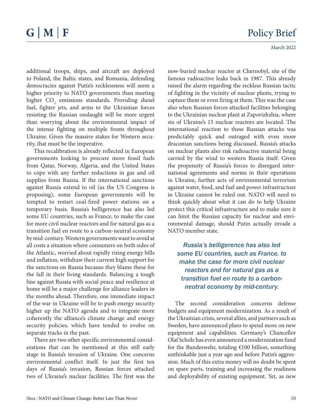additional troops, ships, and aircraft are deployed to Poland, the Baltic states, and Romania, defending democracies against Putin's recklessness will seem a higher priority to NATO governments than meeting higher  $CO_2$  emissions standards. Providing diesel fuel, fighter jets, and arms to the Ukrainian forces resisting the Russian onslaught will be more urgent than worrying about the environmental impact of the intense fighting on multiple fronts throughout Ukraine. Given the massive stakes for Western security, that must be the imperative.

This recalibration is already reflected in European governments looking to procure more fossil fuels from Qatar, Norway, Algeria, and the United States to cope with any further reductions in gas and oil supplies from Russia. If the international sanctions against Russia extend to oil (as the US Congress is proposing), some European governments will be tempted to restart coal-fired power stations on a temporary basis. Russia's belligerence has also led some EU countries, such as France, to make the case for more civil nuclear reactors and for natural gas as a transition fuel en route to a carbon-neutral economy by mid-century. Western governments want to avoid at all costs a situation where consumers on both sides of the Atlantic, worried about rapidly rising energy bills and inflation, withdraw their current high support for the sanctions on Russia because they blame these for the fall in their living standards. Balancing a tough line against Russia with social peace and resilience at home will be a major challenge for alliance leaders in the months ahead. Therefore, one immediate impact of the war in Ukraine will be to push energy security higher up the NATO agenda and to integrate more coherently the alliance's climate change and energy security policies, which have tended to evolve on separate tracks in the past.

There are two other specific environmental considerations that can be mentioned at this still early stage in Russia's invasion of Ukraine. One concerns environmental conflict itself. In just the first ten days of Russia's invasion, Russian forces attacked two of Ukraine's nuclear facilities. The first was the now-buried nuclear reactor at Chernobyl, site of the famous radioactive leaks back in 1987. This already raised the alarm regarding the reckless Russian tactic of fighting in the vicinity of nuclear plants, trying to capture them or even firing at them. This was the case also when Russian forces attacked facilities belonging to the Ukrainian nuclear plant at Zaporizhzhia, where six of Ukraine's 15 nuclear reactors are located. The international reaction to these Russian attacks was predictably quick and outraged with even more draconian sanctions being discussed. Russia's attacks on nuclear plants also risk radioactive material being carried by the wind to western Russia itself. Given the propensity of Russia's forces to disregard international agreements and norms in their operations in Ukraine, further acts of environmental terrorism against water, food, and fuel and power infrastructure in Ukraine cannot be ruled out. NATO will need to think quickly about what it can do to help Ukraine protect this critical infrastructure and to make sure it can limit the Russian capacity for nuclear and environmental damage, should Putin actually invade a NATO member state.

*Russia's belligerence has also led some EU countries, such as France, to make the case for more civil nuclear reactors and for natural gas as a transition fuel en route to a carbonneutral economy by mid-century.* 

The second consideration concerns defense budgets and equipment modernization. As a result of the Ukrainian crisis, several allies, and partners such as Sweden, have announced plans to spend more on new equipment and capabilities. Germany's Chancellor Olaf Scholz has even announced a modernization fund for the Bundeswehr, totaling  $£100$  billion, something unthinkable just a year ago and before Putin's aggression. Much of this extra money will no doubt be spent on spare parts, training and increasing the readiness and deployability of existing equipment. Yet, as new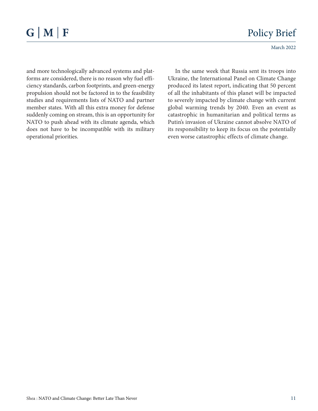March 2022

and more technologically advanced systems and platforms are considered, there is no reason why fuel efficiency standards, carbon footprints, and green-energy propulsion should not be factored in to the feasibility studies and requirements lists of NATO and partner member states. With all this extra money for defense suddenly coming on stream, this is an opportunity for NATO to push ahead with its climate agenda, which does not have to be incompatible with its military operational priorities.

In the same week that Russia sent its troops into Ukraine, the International Panel on Climate Change produced its latest report, indicating that 50 percent of all the inhabitants of this planet will be impacted to severely impacted by climate change with current global warming trends by 2040. Even an event as catastrophic in humanitarian and political terms as Putin's invasion of Ukraine cannot absolve NATO of its responsibility to keep its focus on the potentially even worse catastrophic effects of climate change.